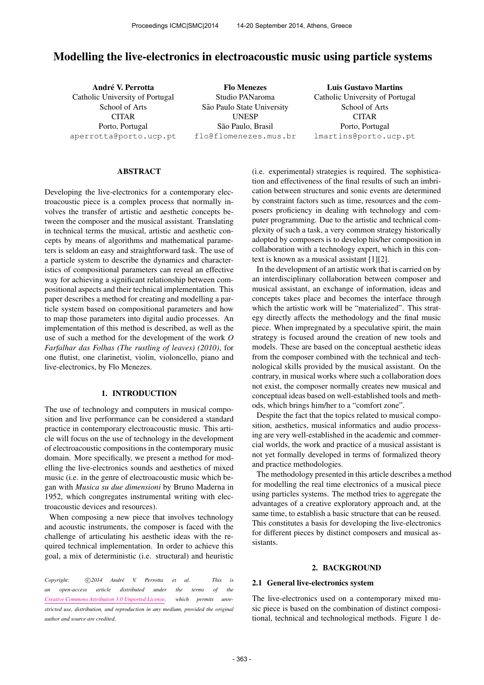# Modelling the live-electronics in electroacoustic music using particle systems

André V. Perrotta Catholic University of Portugal School of Arts **CITAR** Porto, Portugal [aperrotta@porto.ucp.pt](mailto:aperrotta@porto.ucp.pt)

Flo Menezes Studio PANaroma São Paulo State University UNESP São Paulo, Brasil [flo@flomenezes.mus.br](mailto:flo@flomenezes.mus.br)

Luis Gustavo Martins Catholic University of Portugal School of Arts CITAR Porto, Portugal [lmartins@porto.ucp.pt](mailto:lmartins@porto.ucp.pt)

## ABSTRACT

Developing the live-electronics for a contemporary electroacoustic piece is a complex process that normally involves the transfer of artistic and aesthetic concepts between the composer and the musical assistant. Translating in technical terms the musical, artistic and aesthetic concepts by means of algorithms and mathematical parameters is seldom an easy and straightforward task. The use of a particle system to describe the dynamics and characteristics of compositional parameters can reveal an effective way for achieving a significant relationship between compositional aspects and their technical implementation. This paper describes a method for creating and modelling a particle system based on compositional parameters and how to map those parameters into digital audio processes. An implementation of this method is described, as well as the use of such a method for the development of the work *O Farfalhar das Folhas (The rustling of leaves) (2010)*, for one flutist, one clarinetist, violin, violoncello, piano and live-electronics, by Flo Menezes.

# 1. INTRODUCTION

The use of technology and computers in musical composition and live performance can be considered a standard practice in contemporary electroacoustic music. This article will focus on the use of technology in the development of electroacoustic compositions in the contemporary music domain. More specifically, we present a method for modelling the live-electronics sounds and aesthetics of mixed music (i.e. in the genre of electroacoustic music which began with *Musica su due dimensioni* by Bruno Maderna in 1952, which congregates instrumental writing with electroacoustic devices and resources).

When composing a new piece that involves technology and acoustic instruments, the composer is faced with the challenge of articulating his aesthetic ideas with the required technical implementation. In order to achieve this goal, a mix of deterministic (i.e. structural) and heuristic

*Copyright:*  $\bigcirc$ 2014 André V. Perrotta et al. This is *an open-access article distributed under the terms of the [Creative Commons Attribution 3.0 Unported License,](http://creativecommons.org/licenses/by/3.0/) which permits unrestricted use, distribution, and reproduction in any medium, provided the original author and source are credited.*

(i.e. experimental) strategies is required. The sophistication and effectiveness of the final results of such an imbrication between structures and sonic events are determined by constraint factors such as time, resources and the composers proficiency in dealing with technology and computer programming. Due to the artistic and technical complexity of such a task, a very common strategy historically adopted by composers is to develop his/her composition in collaboration with a technology expert, which in this context is known as a musical assistant [1][2].

In the development of an artistic work that is carried on by an interdisciplinary collaboration between composer and musical assistant, an exchange of information, ideas and concepts takes place and becomes the interface through which the artistic work will be "materialized". This strategy directly affects the methodology and the final music piece. When impregnated by a speculative spirit, the main strategy is focused around the creation of new tools and models. These are based on the conceptual aesthetic ideas from the composer combined with the technical and technological skills provided by the musical assistant. On the contrary, in musical works where such a collaboration does not exist, the composer normally creates new musical and conceptual ideas based on well-established tools and methods, which brings him/her to a "comfort zone".

Despite the fact that the topics related to musical composition, aesthetics, musical informatics and audio processing are very well-established in the academic and commercial worlds, the work and practice of a musical assistant is not yet formally developed in terms of formalized theory and practice methodologies.

The methodology presented in this article describes a method for modelling the real time electronics of a musical piece using particles systems. The method tries to aggregate the advantages of a creative exploratory approach and, at the same time, to establish a basic structure that can be reused. This constitutes a basis for developing the live-electronics for different pieces by distinct composers and musical assistants.

### 2. BACKGROUND

#### 2.1 General live-electronics system

The live-electronics used on a contemporary mixed music piece is based on the combination of distinct compositional, technical and technological methods. Figure 1 de-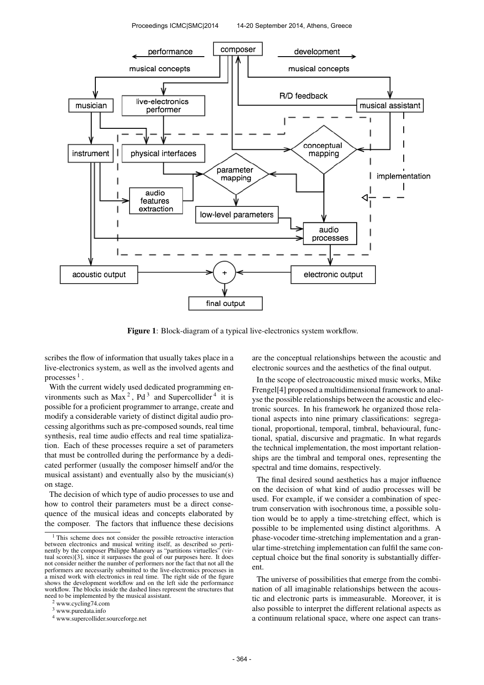

Figure 1: Block-diagram of a typical live-electronics system workflow.

scribes the flow of information that usually takes place in a live-electronics system, as well as the involved agents and processes  $<sup>1</sup>$  .</sup>

With the current widely used dedicated programming environments such as  $Max^2$ ,  $Pd^3$  and Supercollider<sup>4</sup> it is possible for a proficient programmer to arrange, create and modify a considerable variety of distinct digital audio processing algorithms such as pre-composed sounds, real time synthesis, real time audio effects and real time spatialization. Each of these processes require a set of parameters that must be controlled during the performance by a dedicated performer (usually the composer himself and/or the musical assistant) and eventually also by the musician(s) on stage.

The decision of which type of audio processes to use and how to control their parameters must be a direct consequence of the musical ideas and concepts elaborated by the composer. The factors that influence these decisions

<sup>2</sup> www.cycling74.com

are the conceptual relationships between the acoustic and electronic sources and the aesthetics of the final output.

In the scope of electroacoustic mixed music works, Mike Frengel[4] proposed a multidimensional framework to analyse the possible relationships between the acoustic and electronic sources. In his framework he organized those relational aspects into nine primary classifications: segregational, proportional, temporal, timbral, behavioural, functional, spatial, discursive and pragmatic. In what regards the technical implementation, the most important relationships are the timbral and temporal ones, representing the spectral and time domains, respectively.

The final desired sound aesthetics has a major influence on the decision of what kind of audio processes will be used. For example, if we consider a combination of spectrum conservation with isochronous time, a possible solution would be to apply a time-stretching effect, which is possible to be implemented using distinct algorithms. A phase-vocoder time-stretching implementation and a granular time-stretching implementation can fulfil the same conceptual choice but the final sonority is substantially different.

The universe of possibilities that emerge from the combination of all imaginable relationships between the acoustic and electronic parts is immeasurable. Moreover, it is also possible to interpret the different relational aspects as a continuum relational space, where one aspect can trans-

<sup>&</sup>lt;sup>1</sup> This scheme does not consider the possible retroactive interaction between electronics and musical writing itself, as described so perti-nently by the composer Philippe Manoury as "partitions virtuelles" (virtual scores)[3], since it surpasses the goal of our purposes here. It does not consider neither the number of performers nor the fact that not all the performers are necessarily submitted to the live-electronics processes in a mixed work with electronics in real time. The right side of the figure shows the development workflow and on the left side the performance workflow. The blocks inside the dashed lines represent the structures that need to be implemented by the musical assistant.

<sup>3</sup> www.puredata.info

<sup>4</sup> www.supercollider.sourceforge.net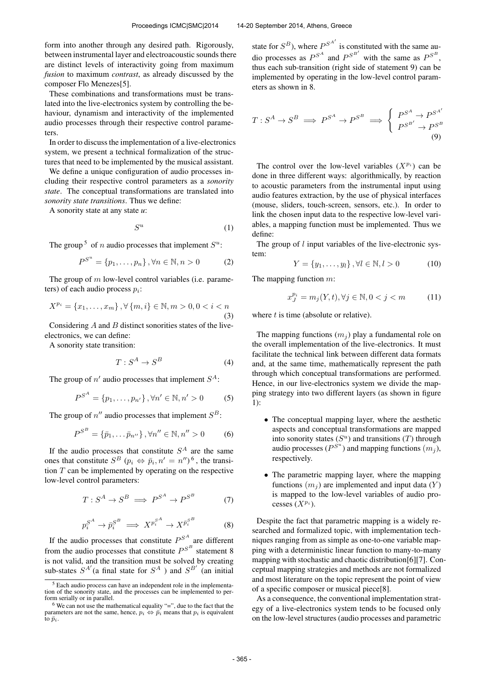form into another through any desired path. Rigorously, between instrumental layer and electroacoustic sounds there are distinct levels of interactivity going from maximum *fusion* to maximum *contrast*, as already discussed by the composer Flo Menezes[5].

These combinations and transformations must be translated into the live-electronics system by controlling the behaviour, dynamism and interactivity of the implemented audio processes through their respective control parameters.

In order to discuss the implementation of a live-electronics system, we present a technical formalization of the structures that need to be implemented by the musical assistant.

We define a unique configuration of audio processes including their respective control parameters as a *sonority state*. The conceptual transformations are translated into *sonority state transitions*. Thus we define:

A sonority state at any state *u*:

$$
S^u \tag{1}
$$

The group<sup>5</sup> of *n* audio processes that implement  $S^u$ :

$$
P^{S^u} = \{p_1, \dots, p_n\}, \forall n \in \mathbb{N}, n > 0
$$
 (2)

The group of  $m$  low-level control variables (i.e. parameters) of each audio process  $p_i$ :

$$
X^{p_i} = \{x_1, \dots, x_m\}, \forall \{m, i\} \in \mathbb{N}, m > 0, 0 < i < n
$$
\n(3)

Considering A and B distinct sonorities states of the liveelectronics, we can define:

A sonority state transition:

$$
T: S^A \to S^B \tag{4}
$$

The group of  $n'$  audio processes that implement  $S^A$ :

$$
P^{S^A} = \{p_1, \dots, p_{n'}\}, \forall n' \in \mathbb{N}, n' > 0 \tag{5}
$$

The group of  $n''$  audio processes that implement  $S^B$ :

$$
P^{S^B} = {\bar{p}_1, \ldots \bar{p}_{n''}}, \forall n'' \in \mathbb{N}, n'' > 0
$$
 (6)

If the audio processes that constitute  $S<sup>A</sup>$  are the same ones that constitute  $S^B$   $(p_i \Leftrightarrow \bar{p}_i, n' = n'')^6$ , the transition  $T$  can be implemented by operating on the respective low-level control parameters:

$$
T: S^A \to S^B \implies P^{S^A} \to P^{S^B} \tag{7}
$$

$$
p_i^{S^A} \to \bar{p}_i^{S^B} \implies X^{p_i^{S^A}} \to X^{\bar{p}_i^{S^B}} \tag{8}
$$

If the audio processes that constitute  $P^{S^A}$  are different from the audio processes that constitute  $P^{S^B}$  statement 8 is not valid, and the transition must be solved by creating sub-states  $S^{A'}$  (a final state for  $S^A$  ) and  $S^{B'}$  (an initial

state for  $S^B$ ), where  $P^{S^{A'}}$  is constituted with the same audio processes as  $P^{S^A}$  and  $P^{S^{B'}}$  with the same as  $P^{S^B}$ , thus each sub-transition (right side of statement 9) can be implemented by operating in the low-level control parameters as shown in 8.

$$
T: S^A \to S^B \implies P^{S^A} \to P^{S^B} \implies \begin{cases} P^{S^A} \to P^{S^{A'}}\\ P^{S^{B'}} \to P^{S^B} \end{cases} (9)
$$

The control over the low-level variables  $(X^{p_i})$  can be done in three different ways: algorithmically, by reaction to acoustic parameters from the instrumental input using audio features extraction, by the use of physical interfaces (mouse, sliders, touch-screen, sensors, etc.). In order to link the chosen input data to the respective low-level variables, a mapping function must be implemented. Thus we define:

The group of l input variables of the live-electronic system:

$$
Y = \{y_1, \dots, y_l\}, \forall l \in \mathbb{N}, l > 0
$$
 (10)

The mapping function 
$$
m
$$
:

$$
x_J^{p_i} = m_j(Y, t), \forall j \in \mathbb{N}, 0 < j < m \tag{11}
$$

where  $t$  is time (absolute or relative).

The mapping functions  $(m_i)$  play a fundamental role on the overall implementation of the live-electronics. It must facilitate the technical link between different data formats and, at the same time, mathematically represent the path through which conceptual transformations are performed. Hence, in our live-electronics system we divide the mapping strategy into two different layers (as shown in figure 1):

- The conceptual mapping layer, where the aesthetic aspects and conceptual transformations are mapped into sonority states  $(S^u)$  and transitions  $(T)$  through audio processes ( $P^{S^u}$ ) and mapping functions  $(m_j)$ , respectively.
- The parametric mapping layer, where the mapping functions  $(m_i)$  are implemented and input data  $(Y)$ is mapped to the low-level variables of audio processes  $(X^{p_i})$ .

Despite the fact that parametric mapping is a widely researched and formalized topic, with implementation techniques ranging from as simple as one-to-one variable mapping with a deterministic linear function to many-to-many mapping with stochastic and chaotic distribution[6][7]. Conceptual mapping strategies and methods are not formalized and most literature on the topic represent the point of view of a specific composer or musical piece[8].

As a consequence, the conventional implementation strategy of a live-electronics system tends to be focused only on the low-level structures (audio processes and parametric

<sup>5</sup> Each audio process can have an independent role in the implementation of the sonority state, and the processes can be implemented to perform serially or in parallel.

 $6$  We can not use the mathematical equality "=", due to the fact that the parameters are not the same, hence,  $p_i \leftrightarrow \overline{p_i}$  means that  $p_i$  is equivalent to  $\bar{p}_i$ .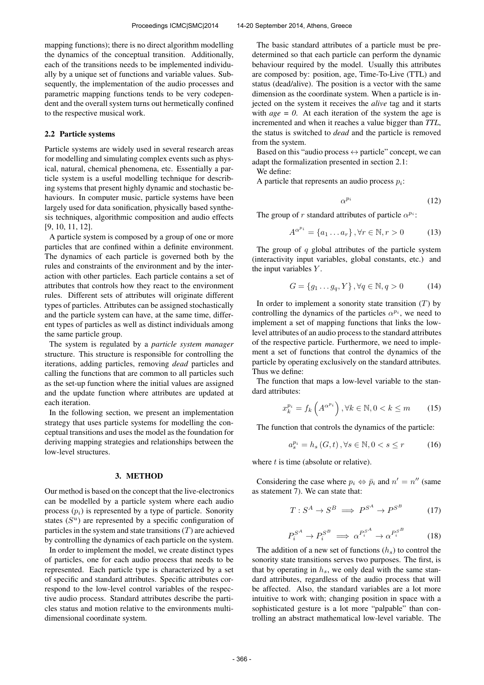mapping functions); there is no direct algorithm modelling the dynamics of the conceptual transition. Additionally, each of the transitions needs to be implemented individually by a unique set of functions and variable values. Subsequently, the implementation of the audio processes and parametric mapping functions tends to be very codependent and the overall system turns out hermetically confined to the respective musical work.

#### 2.2 Particle systems

Particle systems are widely used in several research areas for modelling and simulating complex events such as physical, natural, chemical phenomena, etc. Essentially a particle system is a useful modelling technique for describing systems that present highly dynamic and stochastic behaviours. In computer music, particle systems have been largely used for data sonification, physically based synthesis techniques, algorithmic composition and audio effects [9, 10, 11, 12].

A particle system is composed by a group of one or more particles that are confined within a definite environment. The dynamics of each particle is governed both by the rules and constraints of the environment and by the interaction with other particles. Each particle contains a set of attributes that controls how they react to the environment rules. Different sets of attributes will originate different types of particles. Attributes can be assigned stochastically and the particle system can have, at the same time, different types of particles as well as distinct individuals among the same particle group.

The system is regulated by a *particle system manager* structure. This structure is responsible for controlling the iterations, adding particles, removing *dead* particles and calling the functions that are common to all particles such as the set-up function where the initial values are assigned and the update function where attributes are updated at each iteration.

In the following section, we present an implementation strategy that uses particle systems for modelling the conceptual transitions and uses the model as the foundation for deriving mapping strategies and relationships between the low-level structures.

# 3. METHOD

Our method is based on the concept that the live-electronics can be modelled by a particle system where each audio process  $(p_i)$  is represented by a type of particle. Sonority states  $(S^u)$  are represented by a specific configuration of particles in the system and state transitions  $(T)$  are achieved by controlling the dynamics of each particle on the system.

In order to implement the model, we create distinct types of particles, one for each audio process that needs to be represented. Each particle type is characterized by a set of specific and standard attributes. Specific attributes correspond to the low-level control variables of the respective audio process. Standard attributes describe the particles status and motion relative to the environments multidimensional coordinate system.

The basic standard attributes of a particle must be predetermined so that each particle can perform the dynamic behaviour required by the model. Usually this attributes are composed by: position, age, Time-To-Live (TTL) and status (dead/alive). The position is a vector with the same dimension as the coordinate system. When a particle is injected on the system it receives the *alive* tag and it starts with  $age = 0$ . At each iteration of the system the age is incremented and when it reaches a value bigger than *TTL*, the status is switched to *dead* and the particle is removed from the system.

Based on this "audio process  $\leftrightarrow$  particle" concept, we can adapt the formalization presented in section 2.1:

We define:

A particle that represents an audio process  $p_i$ :

$$
\alpha^{p_i} \tag{12}
$$

The group of r standard attributes of particle  $\alpha^{p_i}$ :

$$
A^{\alpha^{p_i}} = \{a_1 \dots a_r\}, \forall r \in \mathbb{N}, r > 0 \tag{13}
$$

The group of  $q$  global attributes of the particle system (interactivity input variables, global constants, etc.) and the input variables  $Y$ .

$$
G = \{g_1 \dots g_q, Y\}, \forall q \in \mathbb{N}, q > 0 \tag{14}
$$

In order to implement a sonority state transition  $(T)$  by controlling the dynamics of the particles  $\alpha^{p_i}$ , we need to implement a set of mapping functions that links the lowlevel attributes of an audio process to the standard attributes of the respective particle. Furthermore, we need to implement a set of functions that control the dynamics of the particle by operating exclusively on the standard attributes. Thus we define:

The function that maps a low-level variable to the standard attributes:

$$
x_k^{p_i} = f_k\left(A^{\alpha^{p_i}}\right), \forall k \in \mathbb{N}, 0 < k \le m \tag{15}
$$

The function that controls the dynamics of the particle:

$$
a_s^{p_i} = h_s(G, t), \forall s \in \mathbb{N}, 0 < s \le r \tag{16}
$$

where  $t$  is time (absolute or relative).

Considering the case where  $p_i \Leftrightarrow \bar{p}_i$  and  $n' = n''$  (same as statement 7). We can state that:

$$
T: S^A \to S^B \implies P^{S^A} \to P^{S^B} \tag{17}
$$

$$
P_i^{S^A} \to P_i^{S^B} \implies \alpha^{P_i^{S^A}} \to \alpha^{P_i^{S^B}} \tag{18}
$$

The addition of a new set of functions  $(h_s)$  to control the sonority state transitions serves two purposes. The first, is that by operating in  $h_s$ , we only deal with the same standard attributes, regardless of the audio process that will be affected. Also, the standard variables are a lot more intuitive to work with; changing position in space with a sophisticated gesture is a lot more "palpable" than controlling an abstract mathematical low-level variable. The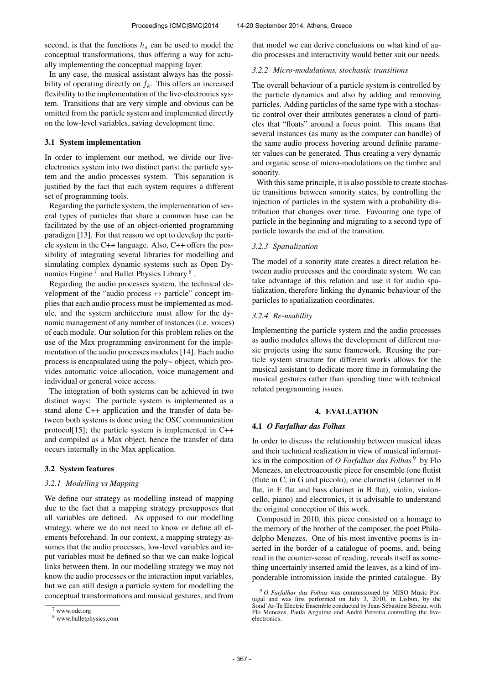second, is that the functions  $h_s$  can be used to model the conceptual transformations, thus offering a way for actually implementing the conceptual mapping layer.

In any case, the musical assistant always has the possibility of operating directly on  $f_k$ . This offers an increased flexibility to the implementation of the live-electronics system. Transitions that are very simple and obvious can be omitted from the particle system and implemented directly on the low-level variables, saving development time.

## 3.1 System implementation

In order to implement our method, we divide our liveelectronics system into two distinct parts; the particle system and the audio processes system. This separation is justified by the fact that each system requires a different set of programming tools.

Regarding the particle system, the implementation of several types of particles that share a common base can be facilitated by the use of an object-oriented programming paradigm [13]. For that reason we opt to develop the particle system in the C++ language. Also, C++ offers the possibility of integrating several libraries for modelling and simulating complex dynamic systems such as Open Dynamics Engine<sup>7</sup> and Bullet Physics Library<sup>8</sup>.

Regarding the audio processes system, the technical development of the "audio process  $\leftrightarrow$  particle" concept implies that each audio process must be implemented as module, and the system architecture must allow for the dynamic management of any number of instances (i.e. voices) of each module. Our solution for this problem relies on the use of the Max programming environment for the implementation of the audio processes modules [14]. Each audio process is encapsulated using the poly<sup>∼</sup> object, which provides automatic voice allocation, voice management and individual or general voice access.

The integration of both systems can be achieved in two distinct ways: The particle system is implemented as a stand alone C++ application and the transfer of data between both systems is done using the OSC communication protocol[15]; the particle system is implemented in C++ and compiled as a Max object, hence the transfer of data occurs internally in the Max application.

## 3.2 System features

### *3.2.1 Modelling vs Mapping*

We define our strategy as modelling instead of mapping due to the fact that a mapping strategy presupposes that all variables are defined. As opposed to our modelling strategy, where we do not need to know or define all elements beforehand. In our context, a mapping strategy assumes that the audio processes, low-level variables and input variables must be defined so that we can make logical links between them. In our modelling strategy we may not know the audio processes or the interaction input variables, but we can still design a particle system for modelling the conceptual transformations and musical gestures, and from that model we can derive conclusions on what kind of audio processes and interactivity would better suit our needs.

#### *3.2.2 Micro-modulations, stochastic transitions*

The overall behaviour of a particle system is controlled by the particle dynamics and also by adding and removing particles. Adding particles of the same type with a stochastic control over their attributes generates a cloud of particles that "floats" around a focus point. This means that several instances (as many as the computer can handle) of the same audio process hovering around definite parameter values can be generated. Thus creating a very dynamic and organic sense of micro-modulations on the timbre and sonority.

With this same principle, it is also possible to create stochastic transitions between sonority states, by controlling the injection of particles in the system with a probability distribution that changes over time. Favouring one type of particle in the beginning and migrating to a second type of particle towards the end of the transition.

## *3.2.3 Spatialization*

The model of a sonority state creates a direct relation between audio processes and the coordinate system. We can take advantage of this relation and use it for audio spatialization, therefore linking the dynamic behaviour of the particles to spatialization coordinates.

# *3.2.4 Re-usability*

Implementing the particle system and the audio processes as audio modules allows the development of different music projects using the same framework. Reusing the particle system structure for different works allows for the musical assistant to dedicate more time in formulating the musical gestures rather than spending time with technical related programming issues.

## 4. EVALUATION

## 4.1 *O Farfalhar das Folhas*

In order to discuss the relationship between musical ideas and their technical realization in view of musical informatics in the composition of *O Farfalhar das Folhas*<sup>9</sup> by Flo Menezes, an electroacoustic piece for ensemble (one flutist (flute in C, in G and piccolo), one clarinetist (clarinet in B flat, in E flat and bass clarinet in B flat), violin, violoncello, piano) and electronics, it is advisable to understand the original conception of this work.

Composed in 2010, this piece consisted on a homage to the memory of the brother of the composer, the poet Philadelpho Menezes. One of his most inventive poems is inserted in the border of a catalogue of poems, and, being read in the counter-sense of reading, reveals itself as something uncertainly inserted amid the leaves, as a kind of imponderable intromission inside the printed catalogue. By

 $7$  www.ode.org

<sup>8</sup> www.bulletphysics.com

<sup>9</sup> *O Farfalhar das Folhas* was commissioned by MISO Music Portugal and was first performed on July 3, 2010, in Lisbon, by the Sond' Ar-Te Electric Ensemble conducted by Jean-Sébastien Béreau, with Flo Menezes, Paula Azguime and André Perrotta controlling the liveelectronics.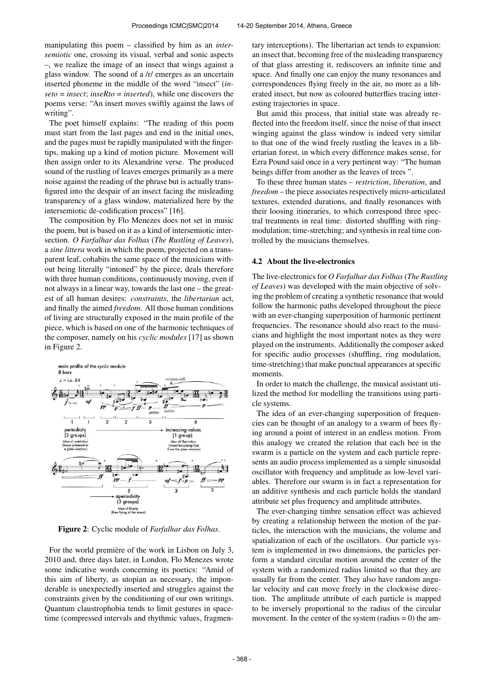manipulating this poem – classified by him as an *intersemiotic* one, crossing its visual, verbal and sonic aspects –, we realize the image of an insect that wings against a glass window. The sound of a /r/ emerges as an uncertain inserted phoneme in the middle of the word "insect" (*inseto* = *insect*; *inseRto* = *inserted*), while one discovers the poems verse: "An insert moves swiftly against the laws of writing".

The poet himself explains: "The reading of this poem must start from the last pages and end in the initial ones, and the pages must be rapidly manipulated with the fingertips, making up a kind of motion picture. Movement will then assign order to its Alexandrine verse. The produced sound of the rustling of leaves emerges primarily as a mere noise against the reading of the phrase but is actually transfigured into the despair of an insect facing the misleading transparency of a glass window, materialized here by the intersemiotic de-codification process" [16].

The composition by Flo Menezes does not set in music the poem, but is based on it as a kind of intersemiotic intersection. *O Farfalhar das Folhas* (*The Rustling of Leaves*), a *sine littera* work in which the poem, projected on a transparent leaf, cohabits the same space of the musicians without being literally "intoned" by the piece, deals therefore with three human conditions, continuously moving, even if not always in a linear way, towards the last one – the greatest of all human desires: *constraints*, the *libertarian* act, and finally the aimed *freedom*. All those human conditions of living are structurally exposed in the main profile of the piece, which is based on one of the harmonic techniques of the composer, namely on his *cyclic modules* [17] as shown in Figure 2.



Figure 2: Cyclic module of *Farfalhar das Folhas*.

For the world première of the work in Lisbon on July 3, 2010 and, three days later, in London, Flo Menezes wrote some indicative words concerning its poetics: "Amid of this aim of liberty, as utopian as necessary, the imponderable is unexpectedly inserted and struggles against the constraints given by the conditioning of our own writings. Quantum claustrophobia tends to limit gestures in spacetime (compressed intervals and rhythmic values, fragmentary interceptions). The libertarian act tends to expansion: an insect that, becoming free of the misleading transparency of that glass arresting it, rediscovers an infinite time and space. And finally one can enjoy the many resonances and correspondences flying freely in the air, no more as a liberated insect, but now as coloured butterflies tracing interesting trajectories in space.

But amid this process, that initial state was already reflected into the freedom itself, since the noise of that insect winging against the glass window is indeed very similar to that one of the wind freely rustling the leaves in a libertarian forest, in which every difference makes sense, for Ezra Pound said once in a very pertinent way: "The human beings differ from another as the leaves of trees ".

To these three human states – *restriction*, *liberation*, and *freedom* – the piece associates respectively micro-articulated textures, extended durations, and finally resonances with their loosing itineraries, to which correspond three spectral treatments in real time: distorted shuffling with ringmodulation; time-stretching; and synthesis in real time controlled by the musicians themselves.

## 4.2 About the live-electronics

The live-electronics for *O Farfalhar das Folhas*(*The Rustling of Leaves*) was developed with the main objective of solving the problem of creating a synthetic resonance that would follow the harmonic paths developed throughout the piece with an ever-changing superposition of harmonic pertinent frequencies. The resonance should also react to the musicians and highlight the most important notes as they were played on the instruments. Additionally the composer asked for specific audio processes (shuffling, ring modulation, time-stretching) that make punctual appearances at specific moments.

In order to match the challenge, the musical assistant utilized the method for modelling the transitions using particle systems.

The idea of an ever-changing superposition of frequencies can be thought of an analogy to a swarm of bees flying around a point of interest in an endless motion. From this analogy we created the relation that each bee in the swarm is a particle on the system and each particle represents an audio process implemented as a simple sinusoidal oscillator with frequency and amplitude as low-level variables. Therefore our swarm is in fact a representation for an additive synthesis and each particle holds the standard attribute set plus frequency and amplitude attributes.

The ever-changing timbre sensation effect was achieved by creating a relationship between the motion of the particles, the interaction with the musicians, the volume and spatialization of each of the oscillators. Our particle system is implemented in two dimensions, the particles perform a standard circular motion around the center of the system with a randomized radius limited so that they are usually far from the center. They also have random angular velocity and can move freely in the clockwise direction. The amplitude attribute of each particle is mapped to be inversely proportional to the radius of the circular movement. In the center of the system (radius  $= 0$ ) the am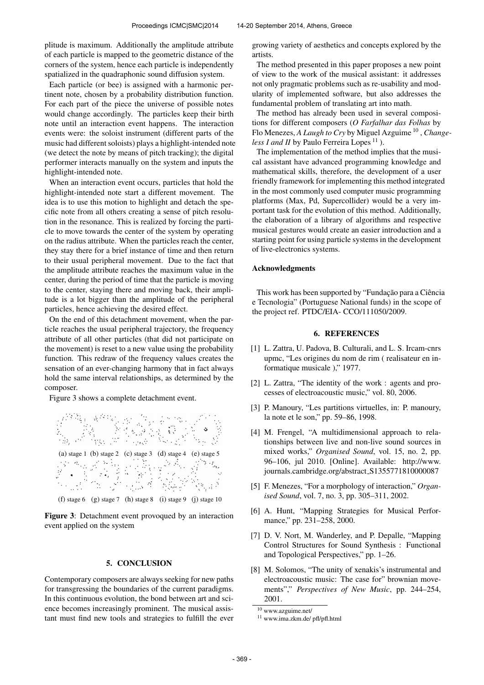plitude is maximum. Additionally the amplitude attribute of each particle is mapped to the geometric distance of the corners of the system, hence each particle is independently spatialized in the quadraphonic sound diffusion system.

Each particle (or bee) is assigned with a harmonic pertinent note, chosen by a probability distribution function. For each part of the piece the universe of possible notes would change accordingly. The particles keep their birth note until an interaction event happens. The interaction events were: the soloist instrument (different parts of the music had different soloists) plays a highlight-intended note (we detect the note by means of pitch tracking); the digital performer interacts manually on the system and inputs the highlight-intended note.

When an interaction event occurs, particles that hold the highlight-intended note start a different movement. The idea is to use this motion to highlight and detach the specific note from all others creating a sense of pitch resolution in the resonance. This is realized by forcing the particle to move towards the center of the system by operating on the radius attribute. When the particles reach the center, they stay there for a brief instance of time and then return to their usual peripheral movement. Due to the fact that the amplitude attribute reaches the maximum value in the center, during the period of time that the particle is moving to the center, staying there and moving back, their amplitude is a lot bigger than the amplitude of the peripheral particles, hence achieving the desired effect.

On the end of this detachment movement, when the particle reaches the usual peripheral trajectory, the frequency attribute of all other particles (that did not participate on the movement) is reset to a new value using the probability function. This redraw of the frequency values creates the sensation of an ever-changing harmony that in fact always hold the same interval relationships, as determined by the composer.

Figure 3 shows a complete detachment event.



Figure 3: Detachment event provoqued by an interaction event applied on the system

### 5. CONCLUSION

Contemporary composers are always seeking for new paths for transgressing the boundaries of the current paradigms. In this continuous evolution, the bond between art and science becomes increasingly prominent. The musical assistant must find new tools and strategies to fulfill the ever growing variety of aesthetics and concepts explored by the artists.

The method presented in this paper proposes a new point of view to the work of the musical assistant: it addresses not only pragmatic problems such as re-usability and modularity of implemented software, but also addresses the fundamental problem of translating art into math.

The method has already been used in several compositions for different composers (*O Farfalhar das Folhas* by Flo Menezes, *A Laugh to Cry* by Miguel Azguime<sup>10</sup>, *Changeless I and II* by Paulo Ferreira Lopes<sup>11</sup>).

The implementation of the method implies that the musical assistant have advanced programming knowledge and mathematical skills, therefore, the development of a user friendly framework for implementing this method integrated in the most commonly used computer music programming platforms (Max, Pd, Supercollider) would be a very important task for the evolution of this method. Additionally, the elaboration of a library of algorithms and respective musical gestures would create an easier introduction and a starting point for using particle systems in the development of live-electronics systems.

#### Acknowledgments

This work has been supported by "Fundação para a Ciência e Tecnologia" (Portuguese National funds) in the scope of the project ref. PTDC/EIA- CCO/111050/2009.

#### 6. REFERENCES

- [1] L. Zattra, U. Padova, B. Culturali, and L. S. Ircam-cnrs upmc, "Les origines du nom de rim ( realisateur en informatique musicale )," 1977.
- [2] L. Zattra, "The identity of the work : agents and processes of electroacoustic music," vol. 80, 2006.
- [3] P. Manoury, "Les partitions virtuelles, in: P. manoury, la note et le son," pp. 59–86, 1998.
- [4] M. Frengel, "A multidimensional approach to relationships between live and non-live sound sources in mixed works," *Organised Sound*, vol. 15, no. 2, pp. 96–106, jul 2010. [Online]. Available: [http://www.](http://www.journals.cambridge.org/abstract_S1355771810000087) [journals.cambridge.org/abstract](http://www.journals.cambridge.org/abstract_S1355771810000087)\_S1355771810000087
- [5] F. Menezes, "For a morphology of interaction," *Organised Sound*, vol. 7, no. 3, pp. 305–311, 2002.
- [6] A. Hunt, "Mapping Strategies for Musical Performance," pp. 231-258, 2000.
- [7] D. V. Nort, M. Wanderley, and P. Depalle, "Mapping Control Structures for Sound Synthesis : Functional and Topological Perspectives," pp. 1–26.
- [8] M. Solomos, "The unity of xenakis's instrumental and electroacoustic music: The case for" brownian movements"," *Perspectives of New Music*, pp. 244–254, 2001.

 $\overline{10}$  www.azguime.net/

<sup>11</sup> www.ima.zkm.de/ pfl/pfl.html